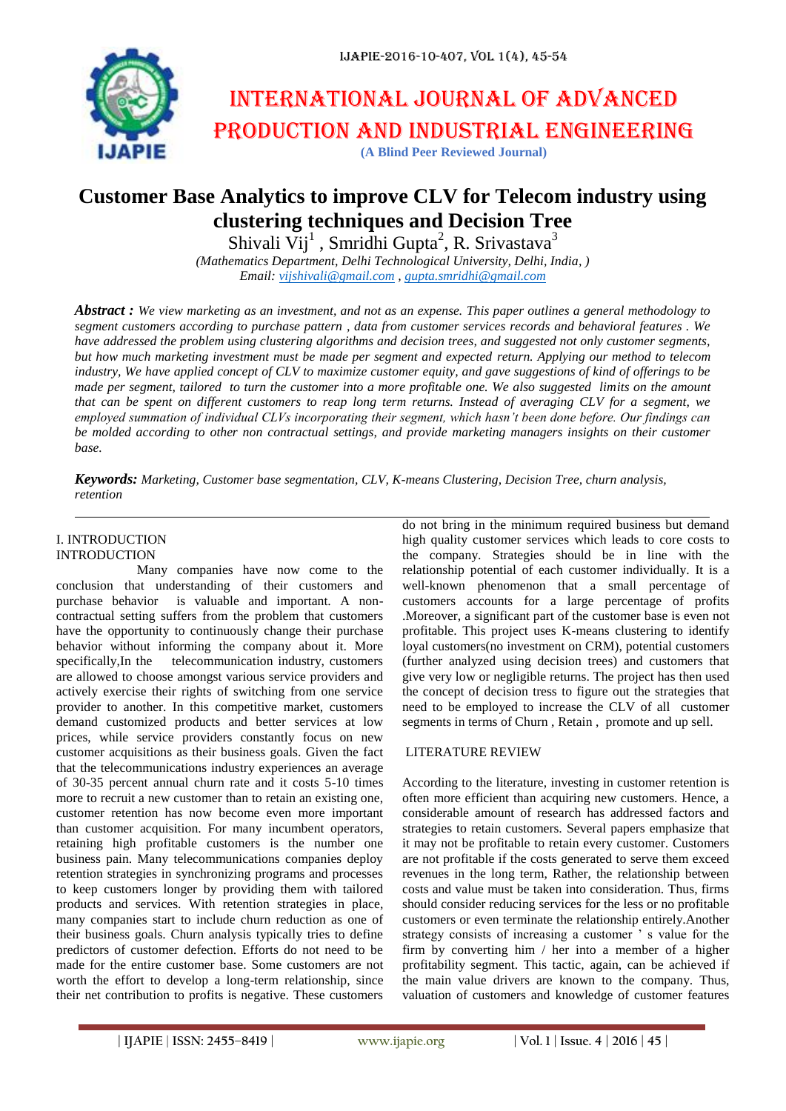

# International journal of advanced production and industrial engineering

# **(A Blind Peer Reviewed Journal)**

# **Customer Base Analytics to improve CLV for Telecom industry using clustering techniques and Decision Tree**

Shivali  $Vij<sup>1</sup>$ , Smridhi Gupta<sup>2</sup>, R. Srivastava<sup>3</sup> *(Mathematics Department, Delhi Technological University, Delhi, India, )*

*Email: [vijshivali@gmail.com](mailto:vijshivali@gmail.com) [, gupta.smridhi@gmail.com](mailto:gupta.smridhi@gmail.com)*

*Abstract : We view marketing as an investment, and not as an expense. This paper outlines a general methodology to segment customers according to purchase pattern , data from customer services records and behavioral features . We have addressed the problem using clustering algorithms and decision trees, and suggested not only customer segments, but how much marketing investment must be made per segment and expected return. Applying our method to telecom industry, We have applied concept of CLV to maximize customer equity, and gave suggestions of kind of offerings to be made per segment, tailored to turn the customer into a more profitable one. We also suggested limits on the amount that can be spent on different customers to reap long term returns. Instead of averaging CLV for a segment, we employed summation of individual CLVs incorporating their segment, which hasn't been done before. Our findings can be molded according to other non contractual settings, and provide marketing managers insights on their customer base.*

*Keywords: Marketing, Customer base segmentation, CLV, K-means Clustering, Decision Tree, churn analysis, retention*

#### I. INTRODUCTION INTRODUCTION

 Many companies have now come to the conclusion that understanding of their customers and purchase behavior is valuable and important. A noncontractual setting suffers from the problem that customers have the opportunity to continuously change their purchase behavior without informing the company about it. More specifically,In the telecommunication industry, customers are allowed to choose amongst various service providers and actively exercise their rights of switching from one service provider to another. In this competitive market, customers demand customized products and better services at low prices, while service providers constantly focus on new customer acquisitions as their business goals. Given the fact that the telecommunications industry experiences an average of 30-35 percent annual churn rate and it costs 5-10 times more to recruit a new customer than to retain an existing one, customer retention has now become even more important than customer acquisition. For many incumbent operators, retaining high profitable customers is the number one business pain. Many telecommunications companies deploy retention strategies in synchronizing programs and processes to keep customers longer by providing them with tailored products and services. With retention strategies in place, many companies start to include churn reduction as one of their business goals. Churn analysis typically tries to define predictors of customer defection. Efforts do not need to be made for the entire customer base. Some customers are not worth the effort to develop a long-term relationship, since their net contribution to profits is negative. These customers

do not bring in the minimum required business but demand high quality customer services which leads to core costs to the company. Strategies should be in line with the relationship potential of each customer individually. It is a well-known phenomenon that a small percentage of customers accounts for a large percentage of profits .Moreover, a significant part of the customer base is even not profitable. This project uses K-means clustering to identify loyal customers(no investment on CRM), potential customers (further analyzed using decision trees) and customers that give very low or negligible returns. The project has then used the concept of decision tress to figure out the strategies that need to be employed to increase the CLV of all customer segments in terms of Churn , Retain , promote and up sell.

#### LITERATURE REVIEW

According to the literature, investing in customer retention is often more efficient than acquiring new customers. Hence, a considerable amount of research has addressed factors and strategies to retain customers. Several papers emphasize that it may not be profitable to retain every customer. Customers are not profitable if the costs generated to serve them exceed revenues in the long term, Rather, the relationship between costs and value must be taken into consideration. Thus, firms should consider reducing services for the less or no profitable customers or even terminate the relationship entirely.Another strategy consists of increasing a customer  $\cdot$  s value for the firm by converting him / her into a member of a higher profitability segment. This tactic, again, can be achieved if the main value drivers are known to the company. Thus, valuation of customers and knowledge of customer features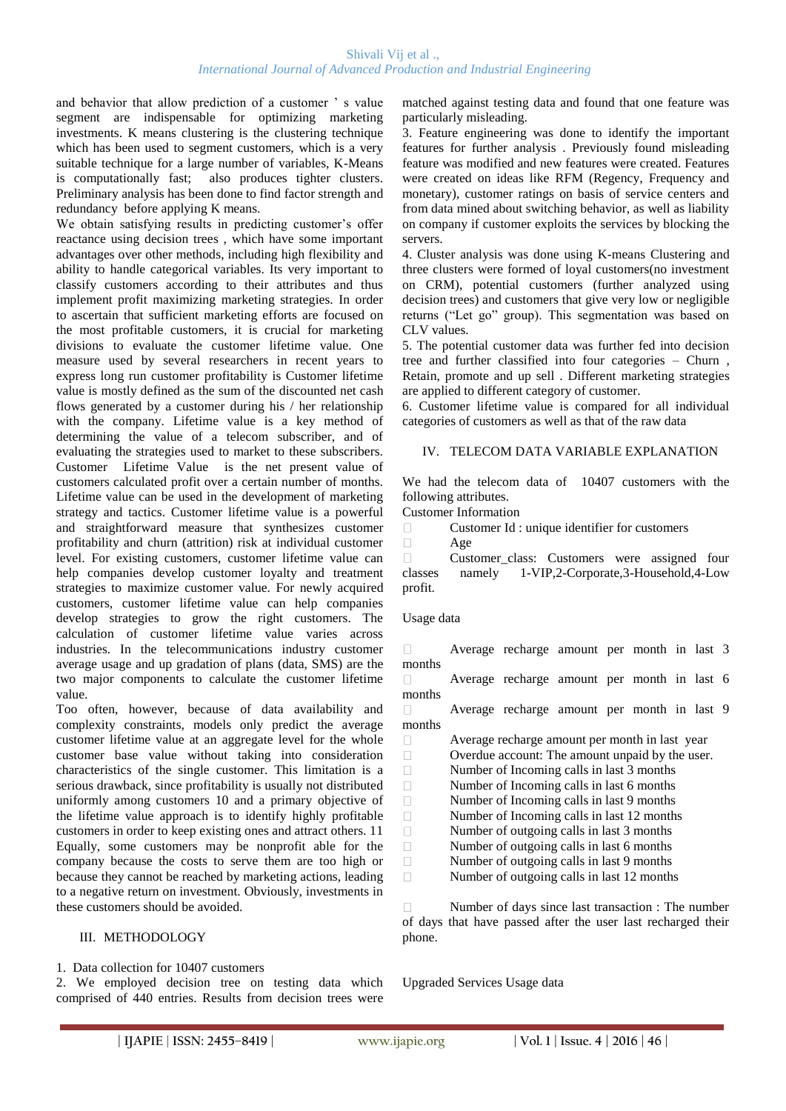and behavior that allow prediction of a customer " s value segment are indispensable for optimizing marketing investments. K means clustering is the clustering technique which has been used to segment customers, which is a very suitable technique for a large number of variables, K-Means is computationally fast; also produces tighter clusters. Preliminary analysis has been done to find factor strength and redundancy before applying K means.

We obtain satisfying results in predicting customer's offer reactance using decision trees , which have some important advantages over other methods, including high flexibility and ability to handle categorical variables. Its very important to classify customers according to their attributes and thus implement profit maximizing marketing strategies. In order to ascertain that sufficient marketing efforts are focused on the most profitable customers, it is crucial for marketing divisions to evaluate the customer lifetime value. One measure used by several researchers in recent years to express long run customer profitability is Customer lifetime value is mostly defined as the sum of the discounted net cash flows generated by a customer during his / her relationship with the company. Lifetime value is a key method of determining the value of a telecom subscriber, and of evaluating the strategies used to market to these subscribers. Customer Lifetime Value is the net present value of customers calculated profit over a certain number of months. Lifetime value can be used in the development of marketing strategy and tactics. Customer lifetime value is a powerful and straightforward measure that synthesizes customer profitability and churn (attrition) risk at individual customer level. For existing customers, customer lifetime value can help companies develop customer loyalty and treatment strategies to maximize customer value. For newly acquired customers, customer lifetime value can help companies develop strategies to grow the right customers. The calculation of customer lifetime value varies across industries. In the telecommunications industry customer average usage and up gradation of plans (data, SMS) are the two major components to calculate the customer lifetime value.

Too often, however, because of data availability and complexity constraints, models only predict the average customer lifetime value at an aggregate level for the whole customer base value without taking into consideration characteristics of the single customer. This limitation is a serious drawback, since profitability is usually not distributed uniformly among customers 10 and a primary objective of the lifetime value approach is to identify highly profitable customers in order to keep existing ones and attract others. 11 Equally, some customers may be nonprofit able for the company because the costs to serve them are too high or because they cannot be reached by marketing actions, leading to a negative return on investment. Obviously, investments in these customers should be avoided.

#### III. METHODOLOGY

1. Data collection for 10407 customers

2. We employed decision tree on testing data which comprised of 440 entries. Results from decision trees were

matched against testing data and found that one feature was particularly misleading.

3. Feature engineering was done to identify the important features for further analysis . Previously found misleading feature was modified and new features were created. Features were created on ideas like RFM (Regency, Frequency and monetary), customer ratings on basis of service centers and from data mined about switching behavior, as well as liability on company if customer exploits the services by blocking the servers.

4. Cluster analysis was done using K-means Clustering and three clusters were formed of loyal customers(no investment on CRM), potential customers (further analyzed using decision trees) and customers that give very low or negligible returns ("Let go" group). This segmentation was based on CLV values.

5. The potential customer data was further fed into decision tree and further classified into four categories – Churn , Retain, promote and up sell . Different marketing strategies are applied to different category of customer.

6. Customer lifetime value is compared for all individual categories of customers as well as that of the raw data

#### IV. TELECOM DATA VARIABLE EXPLANATION

We had the telecom data of 10407 customers with the following attributes.

Customer Information

 $\Box$ Customer Id : unique identifier for customers

 $\Box$ Age

 $\Box$ Customer\_class: Customers were assigned four classes namely 1-VIP,2-Corporate,3-Household,4-Low profit.

Usage data

Average recharge amount per month in last 3  $\Box$ months

Average recharge amount per month in last 6  $\Box$ months

Average recharge amount per month in last 9  $\Box$ months

 $\Box$ Average recharge amount per month in last year  $\Box$ Overdue account: The amount unpaid by the user.  $\Box$ Number of Incoming calls in last 3 months  $\Box$ Number of Incoming calls in last 6 months  $\Box$ Number of Incoming calls in last 9 months  $\Box$ Number of Incoming calls in last 12 months  $\Box$ Number of outgoing calls in last 3 months  $\Box$ Number of outgoing calls in last 6 months  $\Box$ Number of outgoing calls in last 9 months  $\Box$ Number of outgoing calls in last 12 months

 $\Box$ Number of days since last transaction : The number of days that have passed after the user last recharged their phone.

Upgraded Services Usage data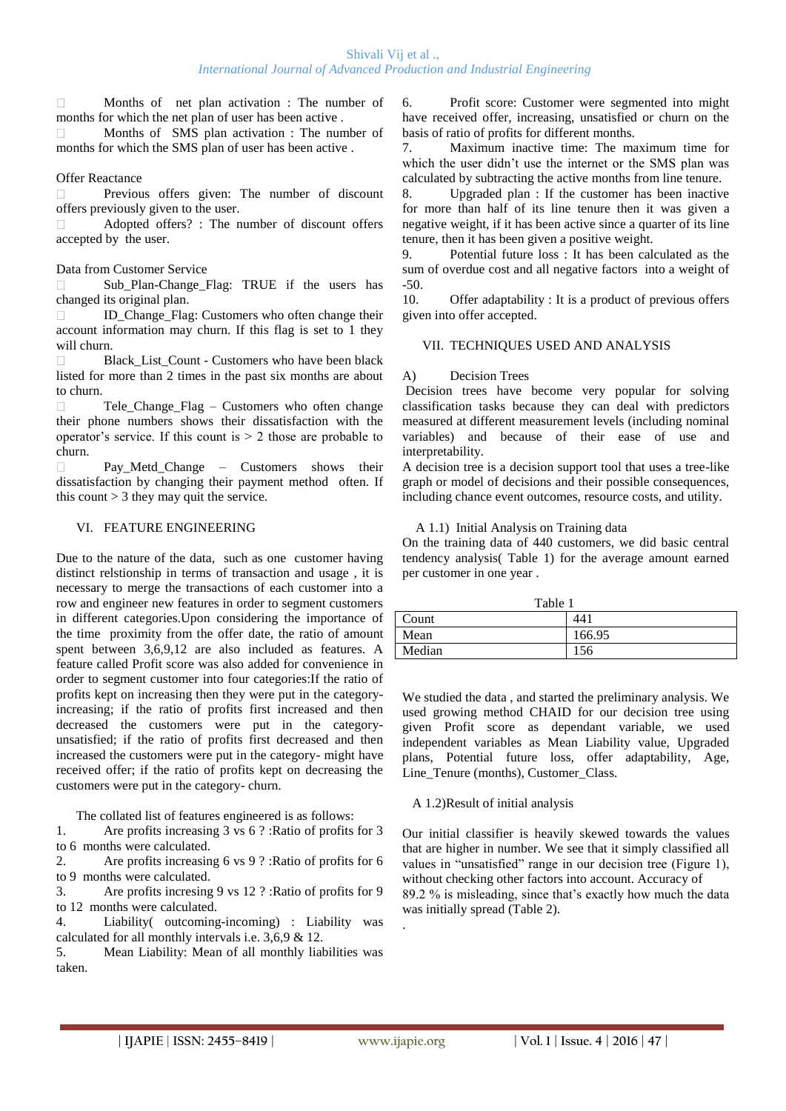Months of net plan activation : The number of  $\Box$ months for which the net plan of user has been active .

Months of SMS plan activation : The number of months for which the SMS plan of user has been active .

#### Offer Reactance

Previous offers given: The number of discount  $\Box$ offers previously given to the user.

Adopted offers? : The number of discount offers  $\Box$ accepted by the user.

#### Data from Customer Service

Sub Plan-Change Flag: TRUE if the users has changed its original plan.

ID\_Change\_Flag: Customers who often change their account information may churn. If this flag is set to 1 they will churn.

Black\_List\_Count - Customers who have been black listed for more than 2 times in the past six months are about to churn.

Tele\_Change\_Flag – Customers who often change  $\Box$ their phone numbers shows their dissatisfaction with the operator's service. If this count is  $> 2$  those are probable to churn.

 $\Box$ Pay Metd Change – Customers shows their dissatisfaction by changing their payment method often. If this count  $> 3$  they may quit the service.

# VI. FEATURE ENGINEERING

Due to the nature of the data, such as one customer having distinct relstionship in terms of transaction and usage , it is necessary to merge the transactions of each customer into a row and engineer new features in order to segment customers in different categories.Upon considering the importance of the time proximity from the offer date, the ratio of amount spent between 3,6,9,12 are also included as features. A feature called Profit score was also added for convenience in order to segment customer into four categories:If the ratio of profits kept on increasing then they were put in the categoryincreasing; if the ratio of profits first increased and then decreased the customers were put in the categoryunsatisfied; if the ratio of profits first decreased and then increased the customers were put in the category- might have received offer; if the ratio of profits kept on decreasing the customers were put in the category- churn.

The collated list of features engineered is as follows:

1. Are profits increasing 3 vs 6 ? :Ratio of profits for 3 to 6 months were calculated.

2. Are profits increasing 6 vs 9 ? :Ratio of profits for 6 to 9 months were calculated.

3. Are profits incresing 9 vs 12 ? :Ratio of profits for 9 to 12 months were calculated.

4. Liability( outcoming-incoming) : Liability was calculated for all monthly intervals i.e. 3,6,9 & 12.

5. Mean Liability: Mean of all monthly liabilities was taken.

6. Profit score: Customer were segmented into might have received offer, increasing, unsatisfied or churn on the basis of ratio of profits for different months.

7. Maximum inactive time: The maximum time for which the user didn't use the internet or the SMS plan was calculated by subtracting the active months from line tenure.

8. Upgraded plan : If the customer has been inactive for more than half of its line tenure then it was given a negative weight, if it has been active since a quarter of its line tenure, then it has been given a positive weight.

9. Potential future loss : It has been calculated as the sum of overdue cost and all negative factors into a weight of -50.

10. Offer adaptability : It is a product of previous offers given into offer accepted.

# VII. TECHNIQUES USED AND ANALYSIS

# A) Decision Trees

Decision trees have become very popular for solving classification tasks because they can deal with predictors measured at different measurement levels (including nominal variables) and because of their ease of use and interpretability.

A decision tree is a decision support tool that uses a tree-like graph or model of decisions and their possible consequences, including chance event outcomes, resource costs, and utility.

#### A 1.1) Initial Analysis on Training data

On the training data of 440 customers, we did basic central tendency analysis( Table 1) for the average amount earned per customer in one year .

| Table 1 |        |  |
|---------|--------|--|
| Count   | 44     |  |
| Mean    | 166.95 |  |
| Median  | 156    |  |

We studied the data , and started the preliminary analysis. We used growing method CHAID for our decision tree using given Profit score as dependant variable, we used independent variables as Mean Liability value, Upgraded plans, Potential future loss, offer adaptability, Age, Line Tenure (months), Customer Class.

# A 1.2)Result of initial analysis

Our initial classifier is heavily skewed towards the values that are higher in number. We see that it simply classified all values in "unsatisfied" range in our decision tree (Figure 1), without checking other factors into account. Accuracy of 89.2 % is misleading, since that"s exactly how much the data was initially spread (Table 2).

.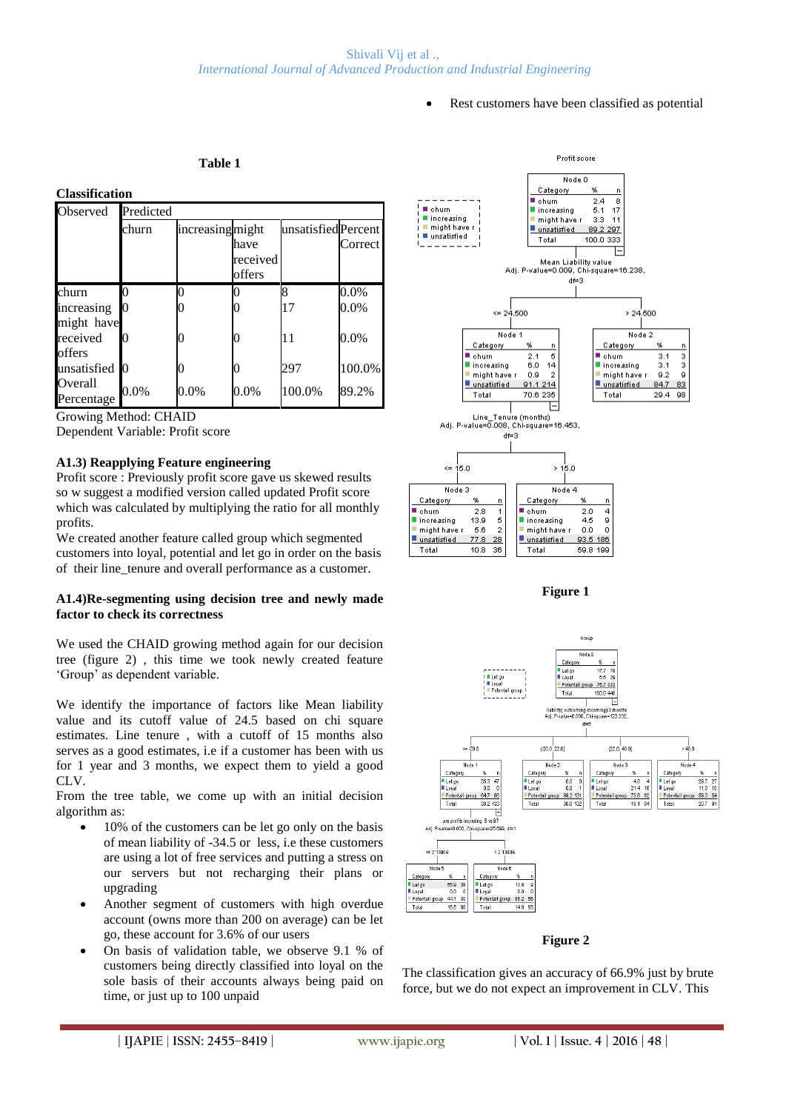Rest customers have been classified as potential

#### **Table 1**

#### **Classification**

| Observed              | Predicted |                 |                            |                     |         |
|-----------------------|-----------|-----------------|----------------------------|---------------------|---------|
|                       | churn     | increasingmight | have<br>received<br>offers | unsatisfied Percent | Correct |
| churn                 |           |                 |                            | 8                   | $0.0\%$ |
| increasing            | 0         |                 |                            | 17                  | $0.0\%$ |
| might have            |           |                 |                            |                     |         |
| received              | 0         |                 |                            | 11                  | $0.0\%$ |
| offers                |           |                 |                            |                     |         |
| unsatisfied           | Ю         |                 |                            | 297                 | 100.0%  |
| Overall<br>Percentage | $0.0\%$   | $0.0\%$         | $0.0\%$                    | 100.0%              | 89.2%   |

Growing Method: CHAID

Dependent Variable: Profit score

#### **A1.3) Reapplying Feature engineering**

Profit score : Previously profit score gave us skewed results so w suggest a modified version called updated Profit score which was calculated by multiplying the ratio for all monthly profits.

We created another feature called group which segmented customers into loyal, potential and let go in order on the basis of their line\_tenure and overall performance as a customer.

#### **A1.4)Re-segmenting using decision tree and newly made factor to check its correctness**

We used the CHAID growing method again for our decision tree (figure 2) , this time we took newly created feature "Group" as dependent variable.

We identify the importance of factors like Mean liability value and its cutoff value of 24.5 based on chi square estimates. Line tenure , with a cutoff of 15 months also serves as a good estimates, i.e if a customer has been with us for 1 year and 3 months, we expect them to yield a good CLV.

From the tree table, we come up with an initial decision algorithm as:

- 10% of the customers can be let go only on the basis of mean liability of -34.5 or less, i.e these customers are using a lot of free services and putting a stress on our servers but not recharging their plans or upgrading
- Another segment of customers with high overdue account (owns more than 200 on average) can be let go, these account for 3.6% of our users
- On basis of validation table, we observe 9.1 % of customers being directly classified into loyal on the sole basis of their accounts always being paid on time, or just up to 100 unpaid



**Figure 1**



#### **Figure 2**

The classification gives an accuracy of 66.9% just by brute force, but we do not expect an improvement in CLV. This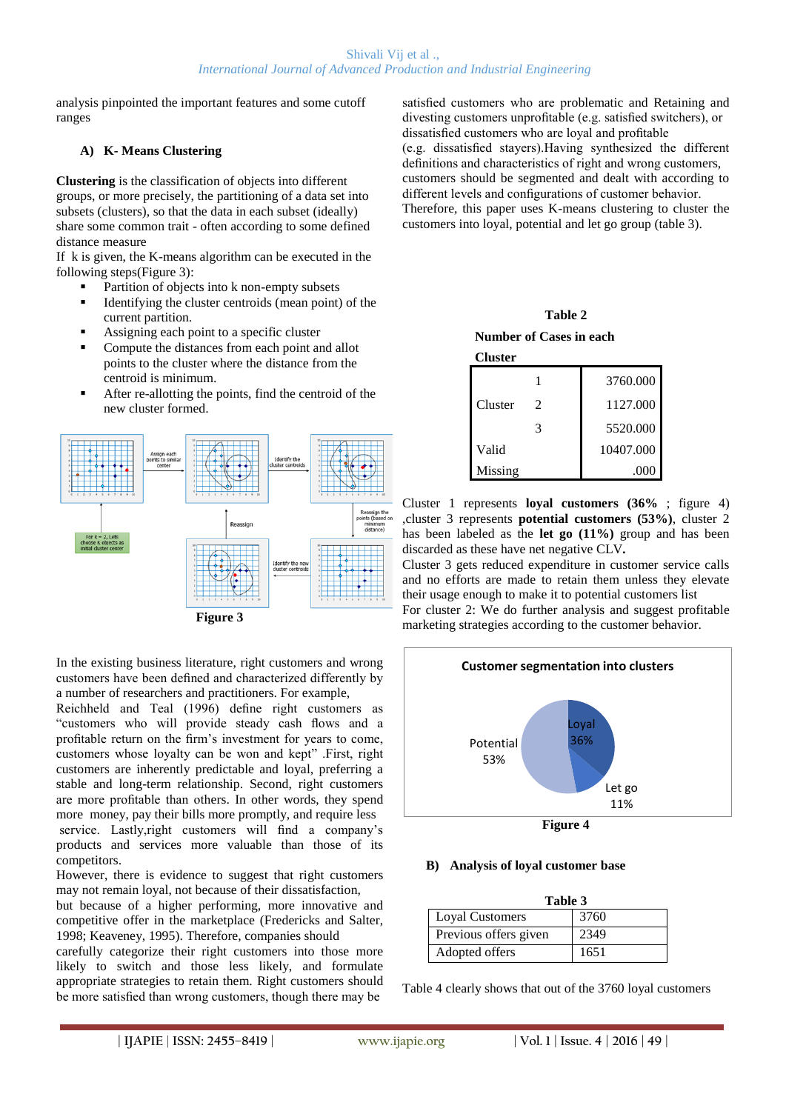analysis pinpointed the important features and some cutoff ranges

# **A) K- Means Clustering**

**Clustering** is the classification of objects into different groups, or more precisely, the partitioning of a data set into subsets (clusters), so that the data in each subset (ideally) share some common trait - often according to some defined distance measure

If k is given, the K-means algorithm can be executed in the following steps(Figure 3):

- Partition of objects into k non-empty subsets
- Identifying the cluster centroids (mean point) of the current partition.
- Assigning each point to a specific cluster
- Compute the distances from each point and allot points to the cluster where the distance from the centroid is minimum.
- After re-allotting the points, find the centroid of the new cluster formed.



In the existing business literature, right customers and wrong customers have been defined and characterized differently by a number of researchers and practitioners. For example,

Reichheld and Teal (1996) define right customers as "customers who will provide steady cash flows and a profitable return on the firm"s investment for years to come, customers whose loyalty can be won and kept" .First, right customers are inherently predictable and loyal, preferring a stable and long-term relationship. Second, right customers are more profitable than others. In other words, they spend more money, pay their bills more promptly, and require less service. Lastly,right customers will find a company's products and services more valuable than those of its competitors.

However, there is evidence to suggest that right customers may not remain loyal, not because of their dissatisfaction,

but because of a higher performing, more innovative and competitive offer in the marketplace (Fredericks and Salter, 1998; Keaveney, 1995). Therefore, companies should

carefully categorize their right customers into those more likely to switch and those less likely, and formulate appropriate strategies to retain them. Right customers should be more satisfied than wrong customers, though there may be

satisfied customers who are problematic and Retaining and divesting customers unprofitable (e.g. satisfied switchers), or dissatisfied customers who are loyal and profitable (e.g. dissatisfied stayers).Having synthesized the different definitions and characteristics of right and wrong customers, customers should be segmented and dealt with according to different levels and configurations of customer behavior. Therefore, this paper uses K-means clustering to cluster the customers into loyal, potential and let go group (table 3).

**Table 2 Number of Cases in each** 

| Cluster |   |           |
|---------|---|-----------|
|         |   | 3760.000  |
| Cluster | 2 | 1127.000  |
|         | 3 | 5520.000  |
| Valid   |   | 10407.000 |
| Missing |   |           |

Cluster 1 represents **loyal customers (36%** ; figure 4) ,cluster 3 represents **potential customers (53%)**, cluster 2 has been labeled as the **let go (11%)** group and has been discarded as these have net negative CLV*.*

Cluster 3 gets reduced expenditure in customer service calls and no efforts are made to retain them unless they elevate their usage enough to make it to potential customers list For cluster 2: We do further analysis and suggest profitable marketing strategies according to the customer behavior.



#### **B) Analysis of loyal customer base**

| Table 3                |      |
|------------------------|------|
| <b>Loyal Customers</b> | 3760 |
| Previous offers given  | 2349 |
| Adopted offers         | 1651 |

Table 4 clearly shows that out of the 3760 loyal customers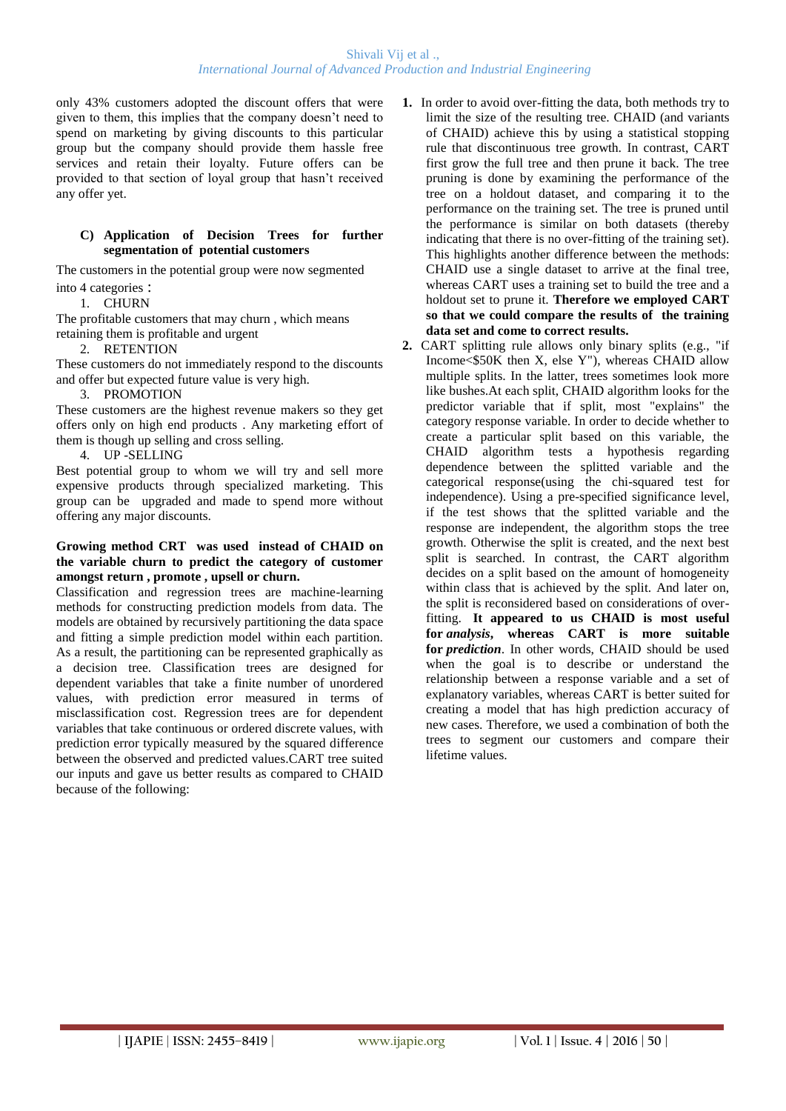only 43% customers adopted the discount offers that were given to them, this implies that the company doesn"t need to spend on marketing by giving discounts to this particular group but the company should provide them hassle free services and retain their loyalty. Future offers can be provided to that section of loyal group that hasn"t received any offer yet.

# **C) Application of Decision Trees for further segmentation of potential customers**

The customers in the potential group were now segmented into 4 categories :

1. CHURN

The profitable customers that may churn , which means retaining them is profitable and urgent

2. RETENTION

These customers do not immediately respond to the discounts and offer but expected future value is very high.

# 3. PROMOTION

These customers are the highest revenue makers so they get offers only on high end products . Any marketing effort of them is though up selling and cross selling.

# 4. UP -SELLING

Best potential group to whom we will try and sell more expensive products through specialized marketing. This group can be upgraded and made to spend more without offering any major discounts.

#### **Growing method CRT was used instead of CHAID on the variable churn to predict the category of customer amongst return , promote , upsell or churn.**

Classification and regression trees are machine-learning methods for constructing prediction models from data. The models are obtained by recursively partitioning the data space and fitting a simple prediction model within each partition. As a result, the partitioning can be represented graphically as a decision tree. Classification trees are designed for dependent variables that take a finite number of unordered values, with prediction error measured in terms of misclassification cost. Regression trees are for dependent variables that take continuous or ordered discrete values, with prediction error typically measured by the squared difference between the observed and predicted values.CART tree suited our inputs and gave us better results as compared to CHAID because of the following:

- **1.** In order to avoid over-fitting the data, both methods try to limit the size of the resulting tree. CHAID (and variants of CHAID) achieve this by using a statistical stopping rule that discontinuous tree growth. In contrast, CART first grow the full tree and then prune it back. The tree pruning is done by examining the performance of the tree on a holdout dataset, and comparing it to the performance on the training set. The tree is pruned until the performance is similar on both datasets (thereby indicating that there is no over-fitting of the training set). This highlights another difference between the methods: CHAID use a single dataset to arrive at the final tree, whereas CART uses a training set to build the tree and a holdout set to prune it. **Therefore we employed CART so that we could compare the results of the training data set and come to correct results.**
- **2.** CART splitting rule allows only binary splits (e.g., "if Income<\$50K then X, else Y"), whereas CHAID allow multiple splits. In the latter, trees sometimes look more like bushes.At each split, CHAID algorithm looks for the predictor variable that if split, most "explains" the category response variable. In order to decide whether to create a particular split based on this variable, the CHAID algorithm tests a hypothesis regarding dependence between the splitted variable and the categorical response(using the chi-squared test for independence). Using a pre-specified significance level, if the test shows that the splitted variable and the response are independent, the algorithm stops the tree growth. Otherwise the split is created, and the next best split is searched. In contrast, the CART algorithm decides on a split based on the amount of homogeneity within class that is achieved by the split. And later on, the split is reconsidered based on considerations of overfitting. **It appeared to us CHAID is most useful for** *analysis***, whereas CART is more suitable for** *prediction*. In other words, CHAID should be used when the goal is to describe or understand the relationship between a response variable and a set of explanatory variables, whereas CART is better suited for creating a model that has high prediction accuracy of new cases. Therefore, we used a combination of both the trees to segment our customers and compare their lifetime values.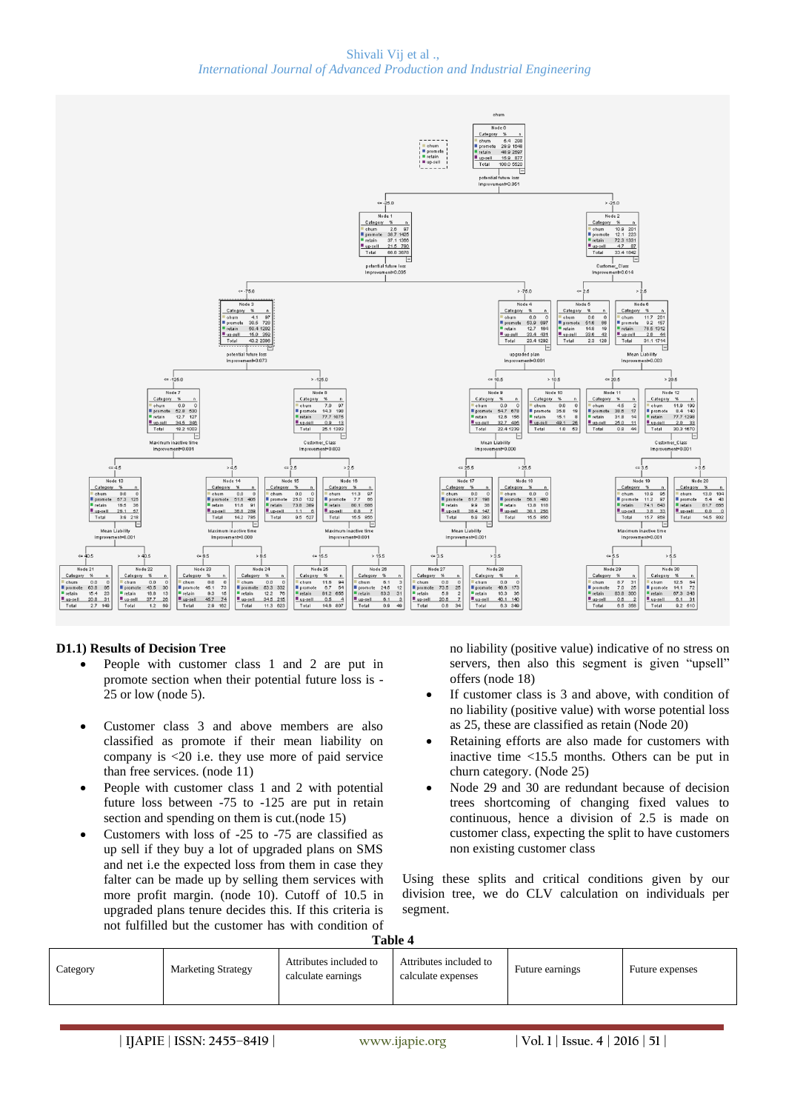

#### **D1.1) Results of Decision Tree**

- People with customer class 1 and 2 are put in promote section when their potential future loss is - 25 or low (node 5).
- Customer class 3 and above members are also classified as promote if their mean liability on company is <20 i.e. they use more of paid service than free services. (node 11)
- People with customer class 1 and 2 with potential future loss between -75 to -125 are put in retain section and spending on them is cut.(node 15)
- Customers with loss of -25 to -75 are classified as up sell if they buy a lot of upgraded plans on SMS and net i.e the expected loss from them in case they falter can be made up by selling them services with more profit margin. (node 10). Cutoff of 10.5 in upgraded plans tenure decides this. If this criteria is not fulfilled but the customer has with condition of

no liability (positive value) indicative of no stress on servers, then also this segment is given "upsell" offers (node 18)

- If customer class is 3 and above, with condition of no liability (positive value) with worse potential loss as 25, these are classified as retain (Node 20)
- Retaining efforts are also made for customers with inactive time <15.5 months. Others can be put in churn category. (Node 25)
- Node 29 and 30 are redundant because of decision trees shortcoming of changing fixed values to continuous, hence a division of 2.5 is made on customer class, expecting the split to have customers non existing customer class

Using these splits and critical conditions given by our division tree, we do CLV calculation on individuals per segment.

| Table | Λ |
|-------|---|
|       |   |

| Attributes included to<br>Attributes included to<br>Future earnings<br><b>Marketing Strategy</b><br>Category<br>Future expenses<br>calculate earnings<br>calculate expenses |
|-----------------------------------------------------------------------------------------------------------------------------------------------------------------------------|
|                                                                                                                                                                             |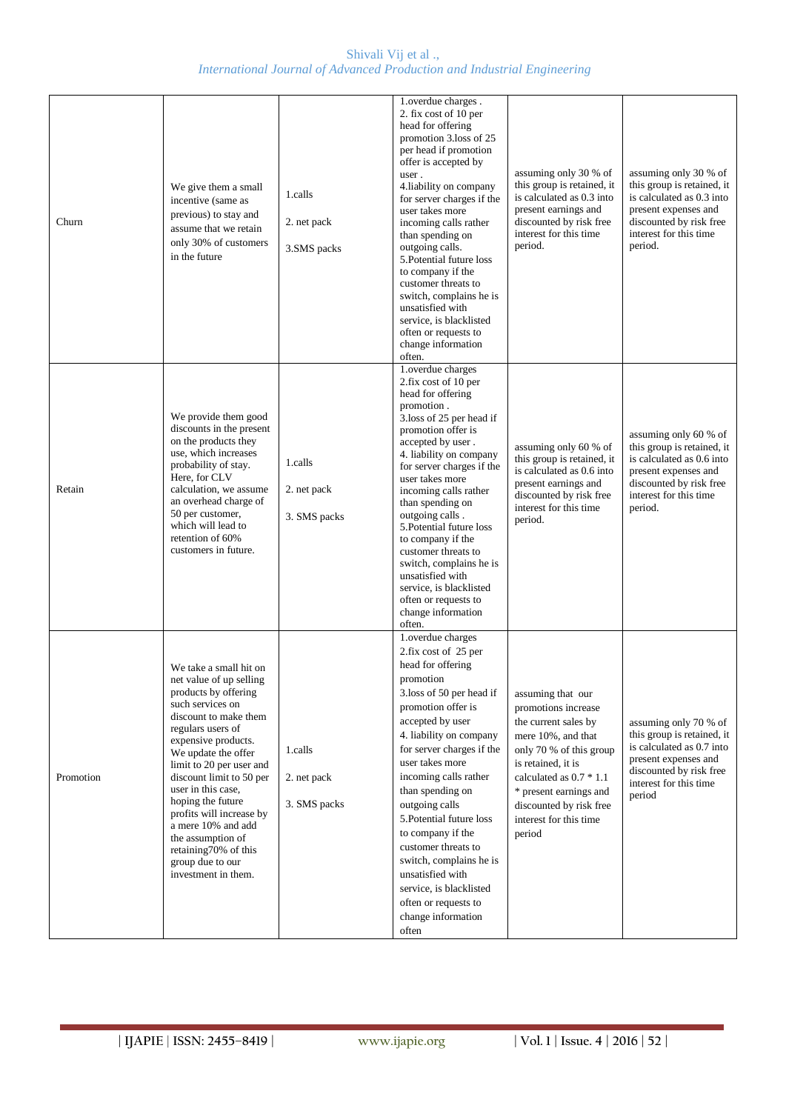| Churn     | We give them a small<br>incentive (same as<br>previous) to stay and<br>assume that we retain<br>only 30% of customers<br>in the future                                                                                                                                                                                                                                                                                                 | 1.calls<br>2. net pack<br>3.SMS packs  | 1.overdue charges.<br>2. fix cost of 10 per<br>head for offering<br>promotion 3.loss of 25<br>per head if promotion<br>offer is accepted by<br>user.<br>4.liability on company<br>for server charges if the<br>user takes more<br>incoming calls rather<br>than spending on<br>outgoing calls.<br>5. Potential future loss<br>to company if the<br>customer threats to<br>switch, complains he is<br>unsatisfied with<br>service, is blacklisted<br>often or requests to<br>change information<br>often. | assuming only 30 % of<br>this group is retained, it<br>is calculated as 0.3 into<br>present earnings and<br>discounted by risk free<br>interest for this time<br>period.                                                                                      | assuming only 30 % of<br>this group is retained, it<br>is calculated as 0.3 into<br>present expenses and<br>discounted by risk free<br>interest for this time<br>period. |
|-----------|----------------------------------------------------------------------------------------------------------------------------------------------------------------------------------------------------------------------------------------------------------------------------------------------------------------------------------------------------------------------------------------------------------------------------------------|----------------------------------------|----------------------------------------------------------------------------------------------------------------------------------------------------------------------------------------------------------------------------------------------------------------------------------------------------------------------------------------------------------------------------------------------------------------------------------------------------------------------------------------------------------|---------------------------------------------------------------------------------------------------------------------------------------------------------------------------------------------------------------------------------------------------------------|--------------------------------------------------------------------------------------------------------------------------------------------------------------------------|
| Retain    | We provide them good<br>discounts in the present<br>on the products they<br>use, which increases<br>probability of stay.<br>Here, for CLV<br>calculation, we assume<br>an overhead charge of<br>50 per customer,<br>which will lead to<br>retention of 60%<br>customers in future.                                                                                                                                                     | 1.calls<br>2. net pack<br>3. SMS packs | 1.overdue charges<br>2.fix cost of 10 per<br>head for offering<br>promotion.<br>3.loss of 25 per head if<br>promotion offer is<br>accepted by user.<br>4. liability on company<br>for server charges if the<br>user takes more<br>incoming calls rather<br>than spending on<br>outgoing calls.<br>5. Potential future loss<br>to company if the<br>customer threats to<br>switch, complains he is<br>unsatisfied with<br>service, is blacklisted<br>often or requests to<br>change information<br>often. | assuming only 60 % of<br>this group is retained, it<br>is calculated as 0.6 into<br>present earnings and<br>discounted by risk free<br>interest for this time<br>period.                                                                                      | assuming only 60 % of<br>this group is retained, it<br>is calculated as 0.6 into<br>present expenses and<br>discounted by risk free<br>interest for this time<br>period. |
| Promotion | We take a small hit on<br>net value of up selling<br>products by offering<br>such services on<br>discount to make them<br>regulars users of<br>expensive products.<br>We update the offer<br>limit to 20 per user and<br>discount limit to 50 per<br>user in this case,<br>hoping the future<br>profits will increase by<br>a mere 10% and add<br>the assumption of<br>retaining70% of this<br>group due to our<br>investment in them. | 1.calls<br>2. net pack<br>3. SMS packs | 1.overdue charges<br>2.fix cost of 25 per<br>head for offering<br>promotion<br>3.loss of 50 per head if<br>promotion offer is<br>accepted by user<br>4. liability on company<br>for server charges if the<br>user takes more<br>incoming calls rather<br>than spending on<br>outgoing calls<br>5. Potential future loss<br>to company if the<br>customer threats to<br>switch, complains he is<br>unsatisfied with<br>service, is blacklisted<br>often or requests to<br>change information<br>often     | assuming that our<br>promotions increase<br>the current sales by<br>mere 10%, and that<br>only 70 % of this group<br>is retained, it is<br>calculated as $0.7 * 1.1$<br>* present earnings and<br>discounted by risk free<br>interest for this time<br>period | assuming only 70 % of<br>this group is retained, it<br>is calculated as 0.7 into<br>present expenses and<br>discounted by risk free<br>interest for this time<br>period  |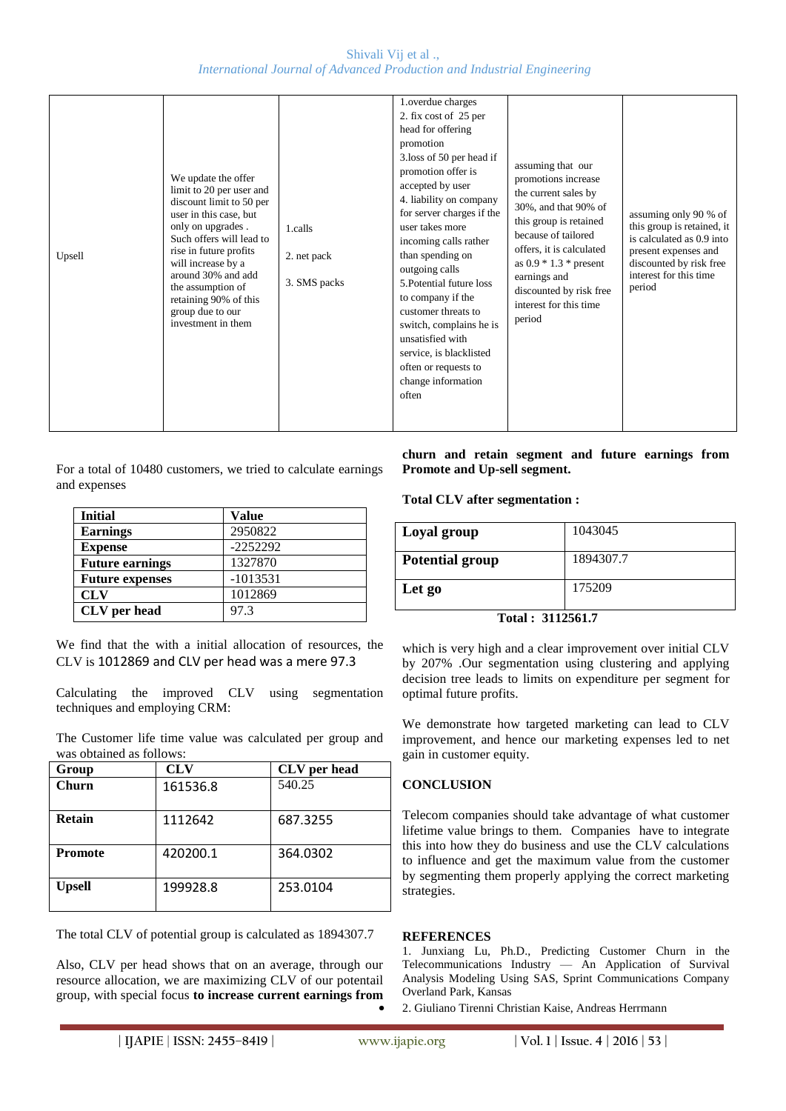| Upsell | We update the offer<br>limit to 20 per user and<br>discount limit to 50 per<br>user in this case, but<br>only on upgrades.<br>Such offers will lead to<br>rise in future profits<br>will increase by a<br>around 30% and add<br>the assumption of<br>retaining 90% of this<br>group due to our<br>investment in them | 1.calls<br>2. net pack<br>3. SMS packs | 1.overdue charges<br>2. fix cost of 25 per<br>head for offering<br>promotion<br>3.loss of 50 per head if<br>promotion offer is<br>accepted by user<br>4. liability on company<br>for server charges if the<br>user takes more<br>incoming calls rather<br>than spending on<br>outgoing calls<br>5. Potential future loss<br>to company if the<br>customer threats to<br>switch, complains he is<br>unsatisfied with<br>service, is blacklisted<br>often or requests to<br>change information<br>often | assuming that our<br>promotions increase<br>the current sales by<br>30%, and that 90% of<br>this group is retained<br>because of tailored<br>offers, it is calculated<br>as $0.9 * 1.3 * present$<br>earnings and<br>discounted by risk free<br>interest for this time<br>period | assuming only 90 % of<br>this group is retained, it<br>is calculated as 0.9 into<br>present expenses and<br>discounted by risk free<br>interest for this time<br>period |
|--------|----------------------------------------------------------------------------------------------------------------------------------------------------------------------------------------------------------------------------------------------------------------------------------------------------------------------|----------------------------------------|-------------------------------------------------------------------------------------------------------------------------------------------------------------------------------------------------------------------------------------------------------------------------------------------------------------------------------------------------------------------------------------------------------------------------------------------------------------------------------------------------------|----------------------------------------------------------------------------------------------------------------------------------------------------------------------------------------------------------------------------------------------------------------------------------|-------------------------------------------------------------------------------------------------------------------------------------------------------------------------|
|--------|----------------------------------------------------------------------------------------------------------------------------------------------------------------------------------------------------------------------------------------------------------------------------------------------------------------------|----------------------------------------|-------------------------------------------------------------------------------------------------------------------------------------------------------------------------------------------------------------------------------------------------------------------------------------------------------------------------------------------------------------------------------------------------------------------------------------------------------------------------------------------------------|----------------------------------------------------------------------------------------------------------------------------------------------------------------------------------------------------------------------------------------------------------------------------------|-------------------------------------------------------------------------------------------------------------------------------------------------------------------------|

For a total of 10480 customers, we tried to calculate earnings and expenses

| <b>Initial</b>         | Value      |
|------------------------|------------|
| <b>Earnings</b>        | 2950822    |
| <b>Expense</b>         | $-2252292$ |
| <b>Future earnings</b> | 1327870    |
| <b>Future expenses</b> | $-1013531$ |
| <b>CLV</b>             | 1012869    |
| <b>CLV</b> per head    | 97.3       |

We find that the with a initial allocation of resources, the CLV is 1012869 and CLV per head was a mere 97.3

Calculating the improved CLV using segmentation techniques and employing CRM:

The Customer life time value was calculated per group and was obtained as follows:

| Group          | <b>CLV</b> | CLV per head |
|----------------|------------|--------------|
| Churn          | 161536.8   | 540.25       |
| <b>Retain</b>  | 1112642    | 687.3255     |
| <b>Promote</b> | 420200.1   | 364.0302     |
| <b>Upsell</b>  | 199928.8   | 253.0104     |

The total CLV of potential group is calculated as 1894307.7

Also, CLV per head shows that on an average, through our resource allocation, we are maximizing CLV of our potentail group, with special focus **to increase current earnings from**  **churn and retain segment and future earnings from Promote and Up-sell segment.**

**Total CLV after segmentation :**

| Loyal group            | 1043045   |  |
|------------------------|-----------|--|
| <b>Potential group</b> | 1894307.7 |  |
| Let go                 | 175209    |  |
| . <i>.</i><br>.        |           |  |

**Total : 3112561.7**

which is very high and a clear improvement over initial CLV by 207% .Our segmentation using clustering and applying decision tree leads to limits on expenditure per segment for optimal future profits.

We demonstrate how targeted marketing can lead to CLV improvement, and hence our marketing expenses led to net gain in customer equity.

# **CONCLUSION**

Telecom companies should take advantage of what customer lifetime value brings to them. Companies have to integrate this into how they do business and use the CLV calculations to influence and get the maximum value from the customer by segmenting them properly applying the correct marketing strategies.

#### **REFERENCES**

1. Junxiang Lu, Ph.D., Predicting Customer Churn in the Telecommunications Industry –– An Application of Survival Analysis Modeling Using SAS, Sprint Communications Company Overland Park, Kansas

2. Giuliano Tirenni Christian Kaise, Andreas Herrmann